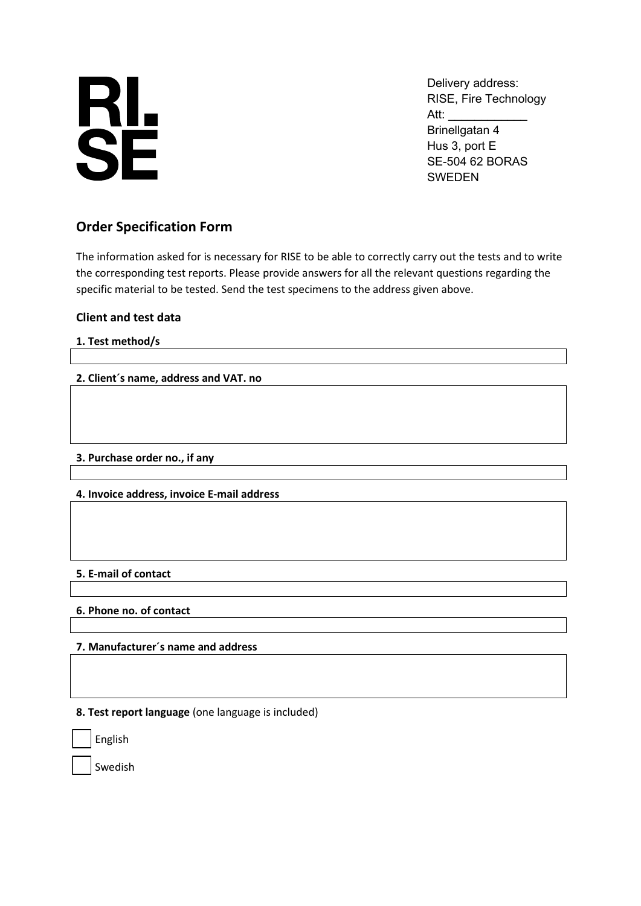# **RL<br>SE**

Delivery address: RISE, Fire Technology Att: Brinellgatan 4 Hus 3, port E SE-504 62 BORAS SWEDEN

# **Order Specification Form**

The information asked for is necessary for RISE to be able to correctly carry out the tests and to write the corresponding test reports. Please provide answers for all the relevant questions regarding the specific material to be tested. Send the test specimens to the address given above.

# **Client and test data**

## **1. Test method/s**

## **2. Client´s name, address and VAT. no**

#### **3. Purchase order no., if any**

#### **4. Invoice address, invoice E-mail address**

#### **5. E-mail of contact**

#### **6. Phone no. of contact**

#### **7. Manufacturer´s name and address**

**8. Test report language** (one language is included)

English

Swedish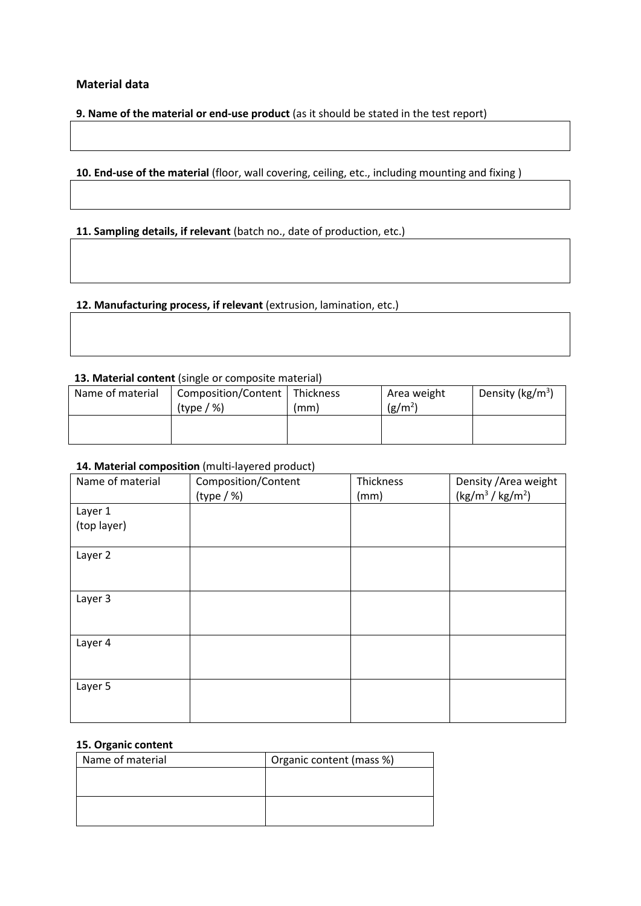#### **Material data**

**9. Name of the material or end-use product** (as it should be stated in the test report)

10. End-use of the material (floor, wall covering, ceiling, etc., including mounting and fixing)

**11. Sampling details, if relevant** (batch no., date of production, etc.)

**12. Manufacturing process, if relevant** (extrusion, lamination, etc.)

#### **13. Material content** (single or composite material)

| Name of material | Composition/Content   Thickness |      | Area weight | Density ( $kg/m3$ ) |
|------------------|---------------------------------|------|-------------|---------------------|
|                  | (type / %)                      | (mm) | $(g/m^2)$   |                     |
|                  |                                 |      |             |                     |
|                  |                                 |      |             |                     |

#### 14. Material composition (multi-layered product)

| Name of material | Composition/Content | Thickness | Density / Area weight   |
|------------------|---------------------|-----------|-------------------------|
|                  | (type / %)          | (mm)      | $(kg/m^{3} / kg/m^{2})$ |
| Layer 1          |                     |           |                         |
| (top layer)      |                     |           |                         |
|                  |                     |           |                         |
| Layer 2          |                     |           |                         |
|                  |                     |           |                         |
|                  |                     |           |                         |
| Layer 3          |                     |           |                         |
|                  |                     |           |                         |
|                  |                     |           |                         |
| Layer 4          |                     |           |                         |
|                  |                     |           |                         |
|                  |                     |           |                         |
| Layer 5          |                     |           |                         |
|                  |                     |           |                         |
|                  |                     |           |                         |

#### **15. Organic content**

| Name of material | Organic content (mass %) |
|------------------|--------------------------|
|                  |                          |
|                  |                          |
|                  |                          |
|                  |                          |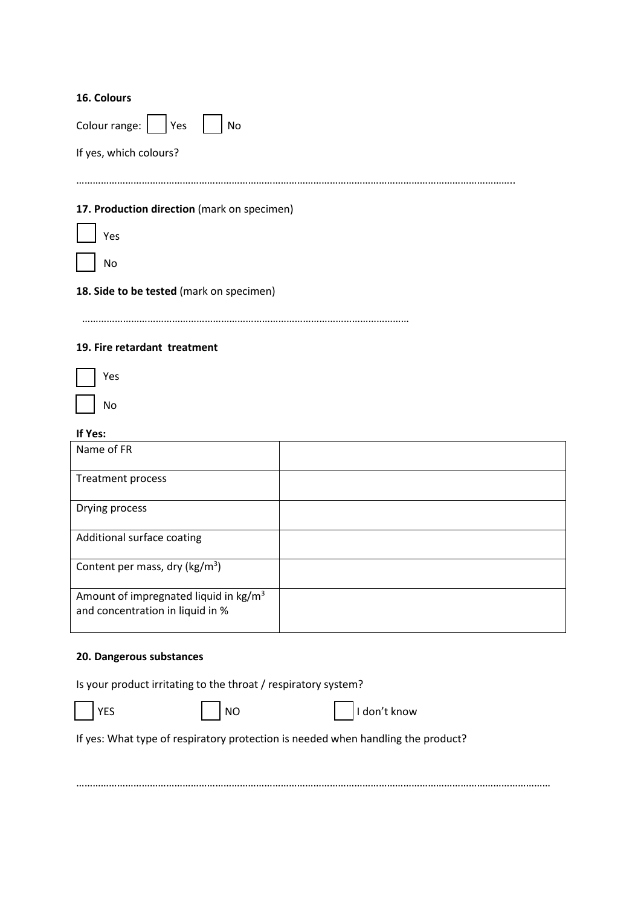#### **16. Colours**

| Colour range:  <br>Yes<br>No                |
|---------------------------------------------|
| If yes, which colours?                      |
|                                             |
| 17. Production direction (mark on specimen) |
| Yes                                         |
| No                                          |
| 18. Side to be tested (mark on specimen)    |
|                                             |

#### **19. Fire retardant treatment**

| 'es |
|-----|
| ٩o  |

| If Yes:                                                                               |  |
|---------------------------------------------------------------------------------------|--|
| Name of FR                                                                            |  |
| <b>Treatment process</b>                                                              |  |
| Drying process                                                                        |  |
| Additional surface coating                                                            |  |
| Content per mass, dry ( $\text{kg/m}^3$ )                                             |  |
| Amount of impregnated liquid in kg/m <sup>3</sup><br>and concentration in liquid in % |  |

#### **20. Dangerous substances**

|  |  |  |  | Is your product irritating to the throat / respiratory system? |  |  |
|--|--|--|--|----------------------------------------------------------------|--|--|
|--|--|--|--|----------------------------------------------------------------|--|--|

T YES NO I don't know

If yes: What type of respiratory protection is needed when handling the product?

…………………………………………………………………………………………………………………………………………………………